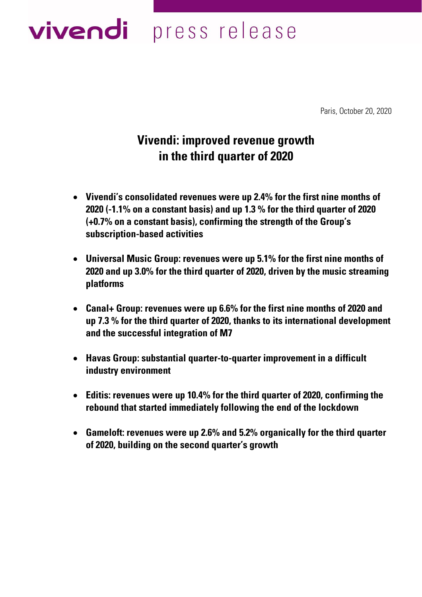# vivendi press release

Paris, October 20, 2020

## **Vivendi: improved revenue growth in the third quarter of 2020**

- **Vivendi's consolidated revenues were up 2.4% for the first nine months of 2020 (-1.1% on a constant basis) and up 1.3 % for the third quarter of 2020 (+0.7% on a constant basis), confirming the strength of the Group's subscription-based activities**
- **Universal Music Group: revenues were up 5.1% for the first nine months of 2020 and up 3.0% for the third quarter of 2020, driven by the music streaming platforms**
- **Canal+ Group: revenues were up 6.6% for the first nine months of 2020 and up 7.3 % for the third quarter of 2020, thanks to its international development and the successful integration of M7**
- **Havas Group: substantial quarter-to-quarter improvement in a difficult industry environment**
- **Editis: revenues were up 10.4% for the third quarter of 2020, confirming the rebound that started immediately following the end of the lockdown**
- **Gameloft: revenues were up 2.6% and 5.2% organically for the third quarter of 2020, building on the second quarter's growth**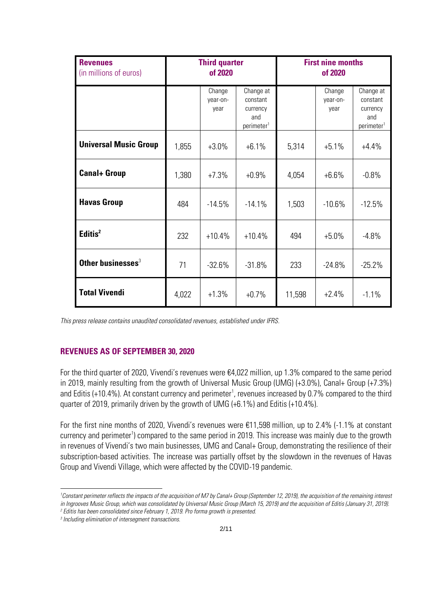| <b>Revenues</b><br>(in millions of euros) | <b>Third quarter</b><br>of 2020 |                            | <b>First nine months</b><br>of 2020                                |        |                            |                                                                    |
|-------------------------------------------|---------------------------------|----------------------------|--------------------------------------------------------------------|--------|----------------------------|--------------------------------------------------------------------|
|                                           |                                 | Change<br>year-on-<br>year | Change at<br>constant<br>currency<br>and<br>perimeter <sup>1</sup> |        | Change<br>year-on-<br>year | Change at<br>constant<br>currency<br>and<br>perimeter <sup>1</sup> |
| <b>Universal Music Group</b>              | 1,855                           | $+3.0%$                    | $+6.1%$                                                            | 5,314  | $+5.1%$                    | $+4.4%$                                                            |
| <b>Canal+ Group</b>                       | 1,380                           | $+7.3%$                    | $+0.9%$                                                            | 4,054  | $+6.6%$                    | $-0.8%$                                                            |
| <b>Havas Group</b>                        | 484                             | $-14.5%$                   | $-14.1%$                                                           | 1,503  | $-10.6%$                   | $-12.5%$                                                           |
| Editis <sup>2</sup>                       | 232                             | $+10.4%$                   | $+10.4%$                                                           | 494    | $+5.0\%$                   | $-4.8%$                                                            |
| Other businesses <sup>3</sup>             | 71                              | $-32.6%$                   | $-31.8%$                                                           | 233    | $-24.8%$                   | $-25.2%$                                                           |
| <b>Total Vivendi</b>                      | 4,022                           | $+1.3%$                    | $+0.7%$                                                            | 11,598 | $+2.4%$                    | $-1.1%$                                                            |

*This press release contains unaudited consolidated revenues, established under IFRS.*

## **REVENUES AS OF SEPTEMBER 30, 2020**

For the third quarter of 2020, Vivendi's revenues were €4,022 million, up 1.3% compared to the same period in 2019, mainly resulting from the growth of Universal Music Group (UMG) (+3.0%), Canal+ Group (+7.3%) and Editis (+10.4%). At constant currency and perimeter<sup>1</sup>, revenues increased by 0.7% compared to the third quarter of 2019, primarily driven by the growth of UMG (+6.1%) and Editis (+10.4%).

For the first nine months of 2020, Vivendi's revenues were €11,598 million, up to 2.4% (-1.1% at constant currency and perimeter<sup>1</sup>) compared to the same period in 2019. This increase was mainly due to the growth in revenues of Vivendi's two main businesses, UMG and Canal+ Group, demonstrating the resilience of their subscription-based activities. The increase was partially offset by the slowdown in the revenues of Havas Group and Vivendi Village, which were affected by the COVID-19 pandemic.

<sup>&</sup>lt;sup>1</sup>Constant perimeter reflects the impacts of the acquisition of M7 by Canal+ Group (September 12, 2019), the acquisition of the remaining interest *in Ingrooves Music Group, which was consolidated by Universal Music Group (March 15, 2019) and the acquisition of Editis (January 31, 2019). 2 Editis has been consolidated since February 1, 2019. Pro forma growth is presented*.

*<sup>3</sup> Including elimination of intersegment transactions*.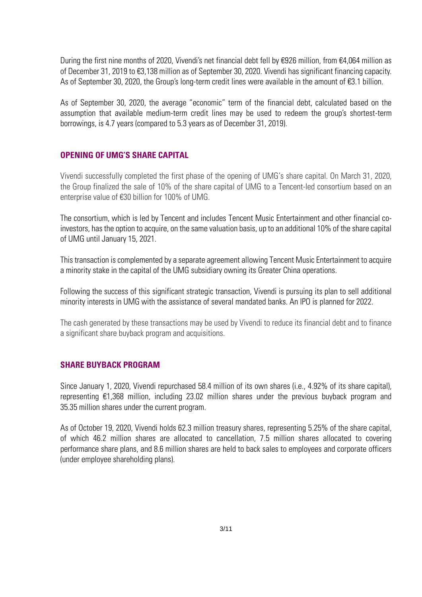During the first nine months of 2020, Vivendi's net financial debt fell by €926 million, from €4,064 million as of December 31, 2019 to €3,138 million as of September 30, 2020. Vivendi has significant financing capacity. As of September 30, 2020, the Group's long-term credit lines were available in the amount of €3.1 billion.

As of September 30, 2020, the average "economic" term of the financial debt, calculated based on the assumption that available medium-term credit lines may be used to redeem the group's shortest-term borrowings, is 4.7 years (compared to 5.3 years as of December 31, 2019).

#### **OPENING OF UMG'S SHARE CAPITAL**

Vivendi successfully completed the first phase of the opening of UMG's share capital. On March 31, 2020, the Group finalized the sale of 10% of the share capital of UMG to a Tencent-led consortium based on an enterprise value of €30 billion for 100% of UMG.

The consortium, which is led by Tencent and includes Tencent Music Entertainment and other financial coinvestors, has the option to acquire, on the same valuation basis, up to an additional 10% of the share capital of UMG until January 15, 2021.

This transaction is complemented by a separate agreement allowing Tencent Music Entertainment to acquire a minority stake in the capital of the UMG subsidiary owning its Greater China operations.

Following the success of this significant strategic transaction, Vivendi is pursuing its plan to sell additional minority interests in UMG with the assistance of several mandated banks. An IPO is planned for 2022.

The cash generated by these transactions may be used by Vivendi to reduce its financial debt and to finance a significant share buyback program and acquisitions.

#### **SHARE BUYBACK PROGRAM**

Since January 1, 2020, Vivendi repurchased 58.4 million of its own shares (i.e., 4.92% of its share capital), representing €1,368 million, including 23.02 million shares under the previous buyback program and 35.35 million shares under the current program.

As of October 19, 2020, Vivendi holds 62.3 million treasury shares, representing 5.25% of the share capital, of which 46.2 million shares are allocated to cancellation, 7.5 million shares allocated to covering performance share plans, and 8.6 million shares are held to back sales to employees and corporate officers (under employee shareholding plans).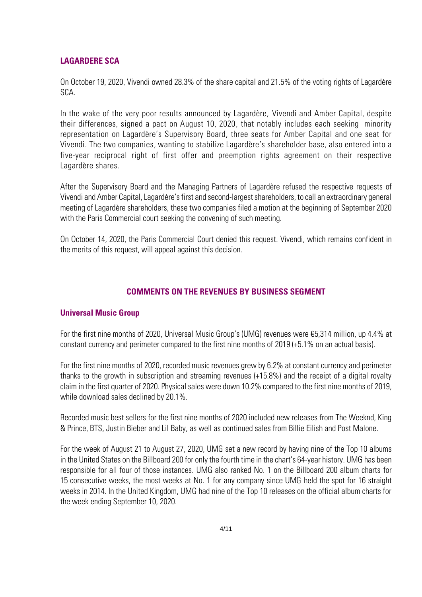#### **LAGARDERE SCA**

On October 19, 2020, Vivendi owned 28.3% of the share capital and 21.5% of the voting rights of Lagardère SCA.

In the wake of the very poor results announced by Lagardère, Vivendi and Amber Capital, despite their differences, signed a pact on August 10, 2020, that notably includes each seeking minority representation on Lagardère's Supervisory Board, three seats for Amber Capital and one seat for Vivendi. The two companies, wanting to stabilize Lagardère's shareholder base, also entered into a five-year reciprocal right of first offer and preemption rights agreement on their respective Lagardère shares.

After the Supervisory Board and the Managing Partners of Lagardère refused the respective requests of Vivendi and Amber Capital, Lagardère'sfirst and second-largest shareholders, to call an extraordinary general meeting of Lagardère shareholders, these two companies filed a motion at the beginning of September 2020 with the Paris Commercial court seeking the convening of such meeting.

On October 14, 2020, the Paris Commercial Court denied this request. Vivendi, which remains confident in the merits of this request, will appeal against this decision.

#### **COMMENTS ON THE REVENUES BY BUSINESS SEGMENT**

#### **Universal Music Group**

For the first nine months of 2020, Universal Music Group's (UMG) revenues were €5,314 million, up 4.4% at constant currency and perimeter compared to the first nine months of 2019 (+5.1% on an actual basis).

For the first nine months of 2020, recorded music revenues grew by 6.2% at constant currency and perimeter thanks to the growth in subscription and streaming revenues (+15.8%) and the receipt of a digital royalty claim in the first quarter of 2020. Physical sales were down 10.2% compared to the first nine months of 2019, while download sales declined by 20.1%.

Recorded music best sellers for the first nine months of 2020 included new releases from The Weeknd, King & Prince, BTS, Justin Bieber and Lil Baby, as well as continued sales from Billie Eilish and Post Malone.

For the week of August 21 to August 27, 2020, UMG set a new record by having nine of the Top 10 albums in the United States on the Billboard 200 for only the fourth time in the chart's 64-year history. UMG has been responsible for all four of those instances. UMG also ranked No. 1 on the Billboard 200 album charts for 15 consecutive weeks, the most weeks at No. 1 for any company since UMG held the spot for 16 straight weeks in 2014. In the United Kingdom, UMG had nine of the Top 10 releases on the official album charts for the week ending September 10, 2020.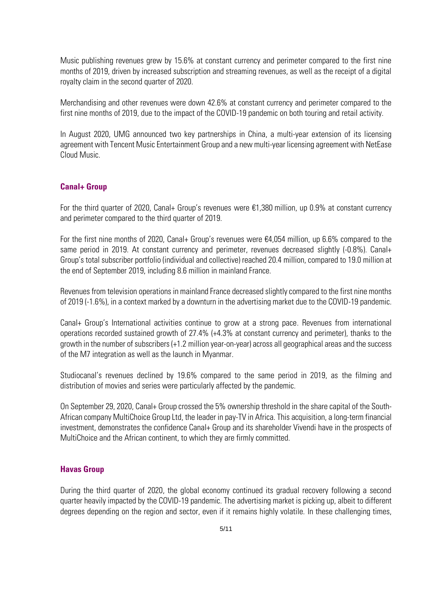Music publishing revenues grew by 15.6% at constant currency and perimeter compared to the first nine months of 2019, driven by increased subscription and streaming revenues, as well as the receipt of a digital royalty claim in the second quarter of 2020.

Merchandising and other revenues were down 42.6% at constant currency and perimeter compared to the first nine months of 2019, due to the impact of the COVID-19 pandemic on both touring and retail activity.

In August 2020, UMG announced two key partnerships in China, a multi-year extension of its licensing agreement with Tencent Music Entertainment Group and a new multi-year licensing agreement with NetEase Cloud Music.

#### **Canal+ Group**

For the third quarter of 2020, Canal+ Group's revenues were €1,380 million, up 0.9% at constant currency and perimeter compared to the third quarter of 2019.

For the first nine months of 2020, Canal+ Group's revenues were  $\epsilon$ 4,054 million, up 6.6% compared to the same period in 2019. At constant currency and perimeter, revenues decreased slightly (-0.8%). Canal+ Group's total subscriber portfolio (individual and collective) reached 20.4 million, compared to 19.0 million at the end of September 2019, including 8.6 million in mainland France.

Revenues from television operations in mainland France decreased slightly compared to the first nine months of 2019 (-1.6%), in a context marked by a downturn in the advertising market due to the COVID-19 pandemic.

Canal+ Group's International activities continue to grow at a strong pace. Revenues from international operations recorded sustained growth of 27.4% (+4.3% at constant currency and perimeter), thanks to the growth in the number of subscribers (+1.2 million year-on-year) across all geographical areas and the success of the M7 integration as well as the launch in Myanmar.

Studiocanal's revenues declined by 19.6% compared to the same period in 2019, as the filming and distribution of movies and series were particularly affected by the pandemic.

On September 29, 2020, Canal+ Group crossed the 5% ownership threshold in the share capital of the South-African company MultiChoice Group Ltd, the leader in pay-TV in Africa. This acquisition, a long-term financial investment, demonstrates the confidence Canal+ Group and its shareholder Vivendi have in the prospects of MultiChoice and the African continent, to which they are firmly committed.

#### **Havas Group**

During the third quarter of 2020, the global economy continued its gradual recovery following a second quarter heavily impacted by the COVID-19 pandemic. The advertising market is picking up, albeit to different degrees depending on the region and sector, even if it remains highly volatile. In these challenging times,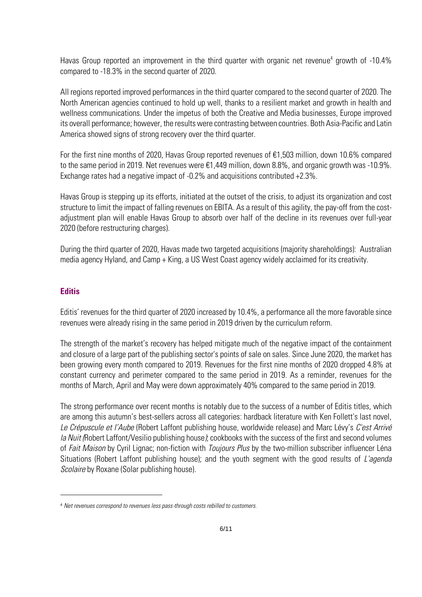Havas Group reported an improvement in the third quarter with organic net revenue<sup>4</sup> growth of -10.4% compared to -18.3% in the second quarter of 2020.

All regions reported improved performances in the third quarter compared to the second quarter of 2020. The North American agencies continued to hold up well, thanks to a resilient market and growth in health and wellness communications. Under the impetus of both the Creative and Media businesses, Europe improved its overall performance; however, the results were contrasting between countries. Both Asia-Pacific and Latin America showed signs of strong recovery over the third quarter.

For the first nine months of 2020, Havas Group reported revenues of €1,503 million, down 10.6% compared to the same period in 2019. Net revenues were €1,449 million, down 8.8%, and organic growth was -10.9%. Exchange rates had a negative impact of -0.2% and acquisitions contributed +2.3%.

Havas Group is stepping up its efforts, initiated at the outset of the crisis, to adjust its organization and cost structure to limit the impact of falling revenues on EBITA. As a result of this agility, the pay-off from the costadjustment plan will enable Havas Group to absorb over half of the decline in its revenues over full-year 2020 (before restructuring charges).

During the third quarter of 2020, Havas made two targeted acquisitions (majority shareholdings): Australian media agency Hyland, and Camp + King, a US West Coast agency widely acclaimed for its creativity.

#### **Editis**

Editis' revenues for the third quarter of 2020 increased by 10.4%, a performance all the more favorable since revenues were already rising in the same period in 2019 driven by the curriculum reform.

The strength of the market's recovery has helped mitigate much of the negative impact of the containment and closure of a large part of the publishing sector's points of sale on sales. Since June 2020, the market has been growing every month compared to 2019. Revenues for the first nine months of 2020 dropped 4.8% at constant currency and perimeter compared to the same period in 2019. As a reminder, revenues for the months of March, April and May were down approximately 40% compared to the same period in 2019.

The strong performance over recent months is notably due to the success of a number of Editis titles, which are among this autumn's best-sellers across all categories: hardback literature with Ken Follett's last novel, *Le Crépuscule et l'Aube* (Robert Laffont publishing house, worldwide release) and Marc Lévy's *C'est Arrivé la Nuit (*Robert Laffont/Vesilio publishing house*)*; cookbooks with the success of the first and second volumes of *Fait Maison* by Cyril Lignac; non-fiction with *Toujours Plus* by the two-million subscriber influencer Léna Situations (Robert Laffont publishing house); and the youth segment with the good results of *L'agenda Scolaire* by Roxane (Solar publishing house).

<sup>4</sup> *Net revenues correspond to revenues less pass-through costs rebilled to customers.*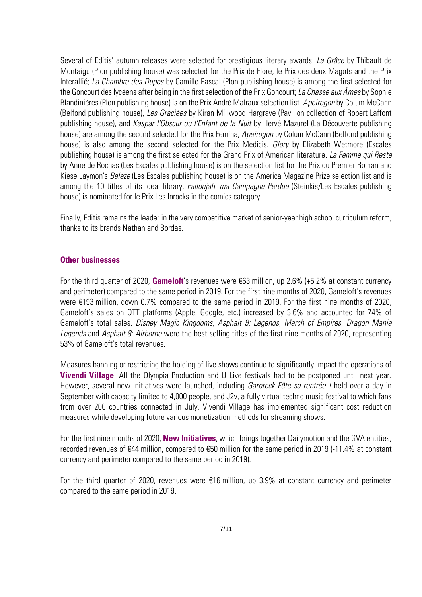Several of Editis' autumn releases were selected for prestigious literary awards: *La Grâce* by Thibault de Montaigu (Plon publishing house) was selected for the Prix de Flore, le Prix des deux Magots and the Prix Interallié; *La Chambre des Dupes* by Camille Pascal (Plon publishing house) is among the first selected for the Goncourt des lycéens after being in the first selection of the Prix Goncourt; *La Chasse aux Âmes* by Sophie Blandinières (Plon publishing house) is on the Prix André Malraux selection list. *Apeirogon* by Colum McCann (Belfond publishing house), *Les Graciées* by Kiran Millwood Hargrave (Pavillon collection of Robert Laffont publishing house), and *Kaspar l'Obscur ou l'Enfant de la Nuit* by Hervé Mazurel (La Découverte publishing house) are among the second selected for the Prix Femina; *Apeirogon* by Colum McCann (Belfond publishing house) is also among the second selected for the Prix Medicis. *Glory* by Elizabeth Wetmore (Escales publishing house) is among the first selected for the Grand Prix of American literature*. La Femme qui Reste* by Anne de Rochas (Les Escales publishing house) is on the selection list for the Prix du Premier Roman and Kiese Laymon's *Baleze* (Les Escales publishing house) is on the America Magazine Prize selection list and is among the 10 titles of its ideal library. *Falloujah: ma Campagne Perdue* (Steinkis/Les Escales publishing house) is nominated for le Prix Les Inrocks in the comics category.

Finally, Editis remains the leader in the very competitive market of senior-year high school curriculum reform, thanks to its brands Nathan and Bordas.

#### **Other businesses**

For the third quarter of 2020, **Gameloft**'s revenues were €63 million, up 2.6% (+5.2% at constant currency and perimeter) compared to the same period in 2019. For the first nine months of 2020, Gameloft's revenues were €193 million, down 0.7% compared to the same period in 2019. For the first nine months of 2020, Gameloft's sales on OTT platforms (Apple, Google, etc.) increased by 3.6% and accounted for 74% of Gameloft's total sales. *Disney Magic Kingdoms*, *Asphalt 9: Legends*, *March of Empires*, *Dragon Mania Legends* and *Asphalt 8: Airborne* were the best-selling titles of the first nine months of 2020, representing 53% of Gameloft's total revenues.

Measures banning or restricting the holding of live shows continue to significantly impact the operations of **Vivendi Village**. All the Olympia Production and U Live festivals had to be postponed until next year. However, several new initiatives were launched, including *Garorock Fête sa rentrée !* held over a day in September with capacity limited to 4,000 people, and J2v, a fully virtual techno music festival to which fans from over 200 countries connected in July. Vivendi Village has implemented significant cost reduction measures while developing future various monetization methods for streaming shows.

For the first nine months of 2020, **New Initiatives**, which brings together Dailymotion and the GVA entities, recorded revenues of €44 million, compared to €50 million for the same period in 2019 (-11.4% at constant currency and perimeter compared to the same period in 2019).

For the third quarter of 2020, revenues were €16 million, up 3.9% at constant currency and perimeter compared to the same period in 2019.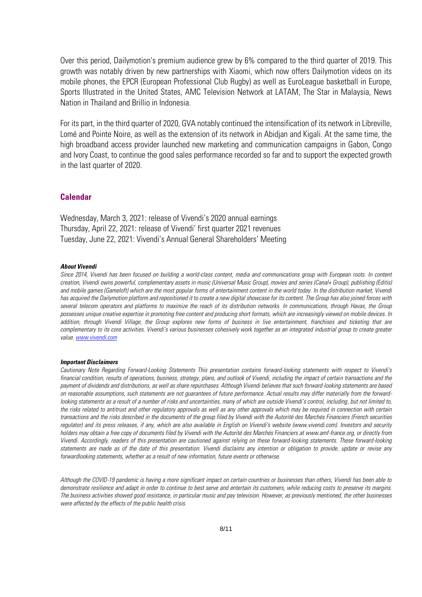Over this period, Dailymotion's premium audience grew by 6% compared to the third quarter of 2019. This growth was notably driven by new partnerships with Xiaomi, which now offers Dailymotion videos on its mobile phones, the EPCR (European Professional Club Rugby) as well as EuroLeague basketball in Europe, Sports Illustrated in the United States, AMC Television Network at LATAM, The Star in Malaysia, News Nation in Thailand and Brillio in Indonesia.

For its part, in the third quarter of 2020, GVA notably continued the intensification of its network in Libreville, Lomé and Pointe Noire, as well as the extension of its network in Abidjan and Kigali. At the same time, the high broadband access provider launched new marketing and communication campaigns in Gabon, Congo and Ivory Coast, to continue the good sales performance recorded so far and to support the expected growth in the last quarter of 2020.

#### **Calendar**

Wednesday, March 3, 2021: release of Vivendi's 2020 annual earnings Thursday, April 22, 2021: release of Vivendi' first quarter 2021 revenues Tuesday, June 22, 2021: Vivendi's Annual General Shareholders' Meeting

#### *About Vivendi*

*Since 2014, Vivendi has been focused on building a world-class content, media and communications group with European roots. In content creation, Vivendi owns powerful, complementary assets in music (Universal Music Group), movies and series (Canal+ Group), publishing (Editis)*  and mobile games (Gameloft) which are the most popular forms of entertainment content in the world today. In the distribution market, Vivendi has acquired the Dailymotion platform and repositioned it to create a new digital showcase for its content. The Group has also joined forces with *several telecom operators and platforms to maximize the reach of its distribution networks. In communications, through Havas, the Group possesses unique creative expertise in promoting free content and producing short formats, which are increasingly viewed on mobile devices. In addition, through Vivendi Village, the Group explores new forms of business in live entertainment, franchises and ticketing that are complementary to its core activities. Vivendi's various businesses cohesively work together as an integrated industrial group to create greater value[. www.vivendi.com](http://www.vivendi.com/)*

#### *Important Disclaimers*

*Cautionary Note Regarding Forward-Looking Statements This presentation contains forward-looking statements with respect to Vivendi's financial condition, results of operations, business, strategy, plans, and outlook of Vivendi, including the impact of certain transactions and the payment of dividends and distributions, as well as share repurchases. Although Vivendi believes that such forward-looking statements are based on reasonable assumptions, such statements are not guarantees of future performance. Actual results may differ materially from the forward*looking statements as a result of a number of risks and uncertainties, many of which are outside Vivendi's control, including, but not limited to, *the risks related to antitrust and other regulatory approvals as well as any other approvals which may be required in connection with certain transactions and the risks described in the documents of the group filed by Vivendi with the Autorité des Marchés Financiers (French securities regulator) and its press releases, if any, which are also available in English on Vivendi's website (www.vivendi.com). Investors and security holders may obtain a free copy of documents filed by Vivendi with the Autorité des Marchés Financiers at www.amf-france.org, or directly from Vivendi. Accordingly, readers of this presentation are cautioned against relying on these forward-looking statements. These forward-looking statements are made as of the date of this presentation. Vivendi disclaims any intention or obligation to provide, update or revise any forwardlooking statements, whether as a result of new information, future events or otherwise.* 

*Although the COVID-19 pandemic is having a more significant impact on certain countries or businesses than others, Vivendi has been able to demonstrate resilience and adapt in order to continue to best serve and entertain its customers, while reducing costs to preserve its margins. The business activities showed good resistance, in particular music and pay television. However, as previously mentioned, the other businesses were affected by the effects of the public health crisis.*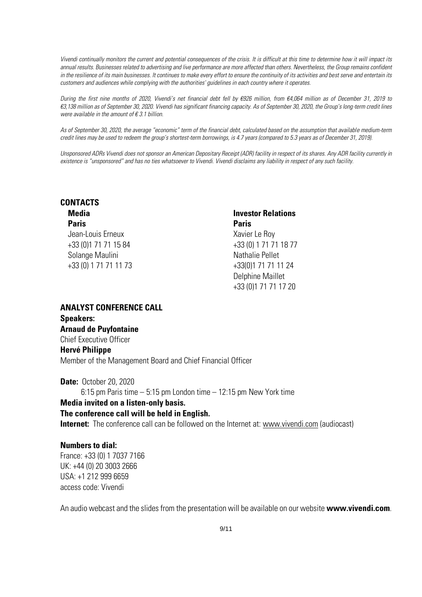*Vivendi continually monitors the current and potential consequences of the crisis. It is difficult at this time to determine how it will impact its*  annual results. Businesses related to advertising and live performance are more affected than others. Nevertheless, the Group remains confident *in the resilience of its main businesses. It continues to make every effort to ensure the continuity of its activities and best serve and entertain its customers and audiences while complying with the authorities' guidelines in each country where it operates.*

*During the first nine months of 2020, Vivendi's net financial debt fell by €926 million, from €4,064 million as of December 31, 2019 to €3,138 million as of September 30, 2020. Vivendi has significant financing capacity. As of September 30, 2020, the Group's long-term credit lines were available in the amount of € 3.1 billion.* 

*As of September 30, 2020, the average "economic" term of the financial debt, calculated based on the assumption that available medium-term credit lines may be used to redeem the group's shortest-term borrowings, is 4.7 years (compared to 5.3 years as of December 31, 2019).*

Unsponsored ADRs Vivendi does not sponsor an American Depositary Receipt (ADR) facility in respect of its shares. Any ADR facility currently in *existence is "unsponsored" and has no ties whatsoever to Vivendi. Vivendi disclaims any liability in respect of any such facility.*

#### **CONTACTS Media**

#### **Paris**

Jean-Louis Erneux +33 (0)1 71 71 15 84 Solange Maulini +33 (0) 1 71 71 11 73

## **Investor Relations Paris** Xavier Le Roy +33 (0) 1 71 71 18 77 Nathalie Pellet +33(0)1 71 71 11 24 Delphine Maillet +33 (0)1 71 71 17 20

**ANALYST CONFERENCE CALL Speakers: Arnaud de Puyfontaine** Chief Executive Officer **Hervé Philippe** Member of the Management Board and Chief Financial Officer

**Date:** October 20, 2020 6:15 pm Paris time – 5:15 pm London time – 12:15 pm New York time **Media invited on a listen-only basis. The conference call will be held in English. Internet:** The conference call can be followed on the Internet at: [www.vivendi.com](http://www.vivendi.com/) (audiocast)

#### **Numbers to dial:**

France: +33 (0) 1 7037 7166 UK: +44 (0) 20 3003 2666 USA: +1 212 999 6659 access code: Vivendi

An audio webcast and the slides from the presentation will be available on our website **www.vivendi.com**.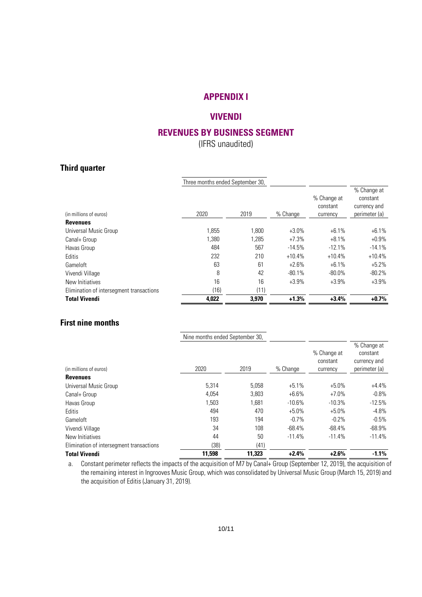## **APPENDIX I**

## **VIVENDI**

## **REVENUES BY BUSINESS SEGMENT**

(IFRS unaudited)

## **Third quarter**

|                                          | Three months ended September 30, |       |           |                                     |                                                          |
|------------------------------------------|----------------------------------|-------|-----------|-------------------------------------|----------------------------------------------------------|
| (in millions of euros)                   | 2020                             | 2019  | % Change  | % Change at<br>constant<br>currency | % Change at<br>constant<br>currency and<br>perimeter (a) |
| <b>Revenues</b>                          |                                  |       |           |                                     |                                                          |
| Universal Music Group                    | 1.855                            | 1.800 | $+3.0%$   | $+6.1%$                             | $+6.1%$                                                  |
| Canal+ Group                             | 1.380                            | 1,285 | $+7.3%$   | $+8.1%$                             | $+0.9%$                                                  |
| Havas Group                              | 484                              | 567   | $-14.5%$  | $-12.1%$                            | $-14.1%$                                                 |
| Editis                                   | 232                              | 210   | $+10.4%$  | $+10.4%$                            | $+10.4%$                                                 |
| Gameloft                                 | 63                               | 61    | $+2.6%$   | $+6.1%$                             | $+5.2%$                                                  |
| Vivendi Village                          | 8                                | 42    | $-80.1\%$ | $-80.0\%$                           | $-80.2%$                                                 |
| New Initiatives                          | 16                               | 16    | $+3.9%$   | $+3.9%$                             | $+3.9%$                                                  |
| Elimination of intersegment transactions | (16)                             | (11)  |           |                                     |                                                          |
| <b>Total Vivendi</b>                     | 4,022                            | 3,970 | $+1.3%$   | $+3.4%$                             | $+0.7%$                                                  |

## **First nine months**

|                                          | Nine months ended September 30, |        |          |                                     |                                                          |
|------------------------------------------|---------------------------------|--------|----------|-------------------------------------|----------------------------------------------------------|
| (in millions of euros)                   | 2020                            | 2019   | % Change | % Change at<br>constant<br>currency | % Change at<br>constant<br>currency and<br>perimeter (a) |
| <b>Revenues</b>                          |                                 |        |          |                                     |                                                          |
| Universal Music Group                    | 5.314                           | 5.058  | $+5.1%$  | $+5.0%$                             | $+4.4%$                                                  |
| Canal+ Group                             | 4.054                           | 3,803  | $+6.6%$  | $+7.0%$                             | $-0.8\%$                                                 |
| Havas Group                              | 1,503                           | 1,681  | $-10.6%$ | $-10.3%$                            | $-12.5%$                                                 |
| <b>Editis</b>                            | 494                             | 470    | $+5.0%$  | $+5.0%$                             | $-4.8\%$                                                 |
| Gameloft                                 | 193                             | 194    | $-0.7%$  | $-0.2%$                             | $-0.5\%$                                                 |
| Vivendi Village                          | 34                              | 108    | $-68.4%$ | $-68.4%$                            | $-68.9\%$                                                |
| New Initiatives                          | 44                              | 50     | $-11.4%$ | $-11.4%$                            | $-11.4%$                                                 |
| Elimination of intersegment transactions | (38)                            | (41)   |          |                                     |                                                          |
| <b>Total Vivendi</b>                     | 11.598                          | 11.323 | $+2.4%$  | $+2.6%$                             | $-1.1%$                                                  |

a. Constant perimeter reflects the impacts of the acquisition of M7 by Canal+ Group (September 12, 2019), the acquisition of the remaining interest in Ingrooves Music Group, which was consolidated by Universal Music Group (March 15, 2019) and the acquisition of Editis (January 31, 2019).